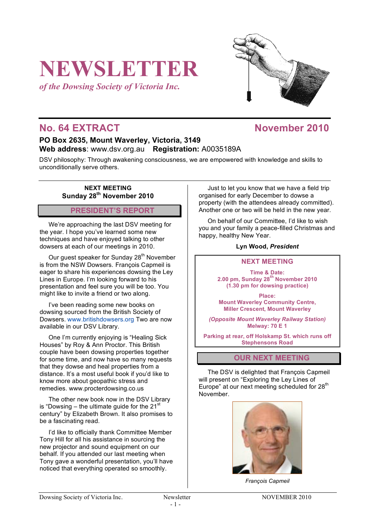# **NEWSLETTER**

*of the Dowsing Society of Victoria Inc.*



# **No. 64 EXTRACT November 2010**

## **PO Box 2635, Mount Waverley, Victoria, 3149 Web address**: www.dsv.org.au **Registration:** A0035189A

DSV philosophy: Through awakening consciousness, we are empowered with knowledge and skills to unconditionally serve others.

#### **NEXT MEETING Sunday 28th November 2010**

## **PRESIDENT'S REPORT**

We're approaching the last DSV meeting for the year. I hope you've learned some new techniques and have enjoyed talking to other dowsers at each of our meetings in 2010.

Our guest speaker for Sunday 28<sup>th</sup> November is from the NSW Dowsers. François Capmeil is eager to share his experiences dowsing the Ley Lines in Europe. I'm looking forward to his presentation and feel sure you will be too. You might like to invite a friend or two along.

I've been reading some new books on dowsing sourced from the British Society of Dowsers. www.britishdowsers.org Two are now available in our DSV Library.

One I'm currently enjoying is "Healing Sick Houses" by Roy & Ann Proctor. This British couple have been dowsing properties together for some time, and now have so many requests that they dowse and heal properties from a distance. It's a most useful book if you'd like to know more about geopathic stress and remedies. www.procterdowsing.co.us

The other new book now in the DSV Library is "Dowsing – the ultimate guide for the  $21<sup>st</sup>$ century" by Elizabeth Brown. It also promises to be a fascinating read.

I'd like to officially thank Committee Member Tony Hill for all his assistance in sourcing the new projector and sound equipment on our behalf. If you attended our last meeting when Tony gave a wonderful presentation, you'll have noticed that everything operated so smoothly.

Just to let you know that we have a field trip organised for early December to dowse a property (with the attendees already committed). Another one or two will be held in the new year.

On behalf of our Committee, I'd like to wish you and your family a peace-filled Christmas and happy, healthy New Year.

#### **Lyn Wood,** *President*

#### **NEXT MEETING**

**Time & Date: 2.00 pm, Sunday 28th November 2010 (1.30 pm for dowsing practice)**

**Place: Mount Waverley Community Centre, Miller Crescent, Mount Waverley**

*(Opposite Mount Waverley Railway Station)* **Melway: 70 E 1**

**Parking at rear, off Holskamp St. which runs off Stephensons Road**

#### **OUR NEXT MEETING**

The DSV is delighted that François Capmeil will present on "Exploring the Ley Lines of Europe" at our next meeting scheduled for 28<sup>th</sup> November.



*François Capmeil*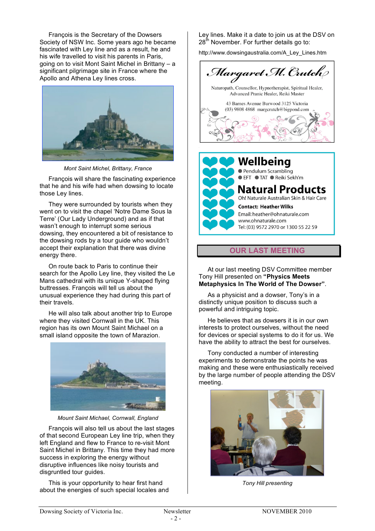François is the Secretary of the Dowsers Society of NSW Inc. Some years ago he became fascinated with Ley line and as a result, he and his wife travelled to visit his parents in Paris, going on to visit Mont Saint Michel in Brittany – a significant pilgrimage site in France where the Apollo and Athena Ley lines cross.



*Mont Saint Michel, Brittany, France*

François will share the fascinating experience that he and his wife had when dowsing to locate those Ley lines.

They were surrounded by tourists when they went on to visit the chapel 'Notre Dame Sous la Terre' (Our Lady Underground) and as if that wasn't enough to interrupt some serious dowsing, they encountered a bit of resistance to the dowsing rods by a tour guide who wouldn't accept their explanation that there was divine energy there.

On route back to Paris to continue their search for the Apollo Ley line, they visited the Le Mans cathedral with its unique Y-shaped flying buttresses. François will tell us about the unusual experience they had during this part of their travels.

He will also talk about another trip to Europe where they visited Cornwall in the UK. This region has its own Mount Saint Michael on a small island opposite the town of Marazion.



*Mount Saint Michael, Cornwall, England*

François will also tell us about the last stages of that second European Ley line trip, when they left England and flew to France to re-visit Mont Saint Michel in Brittany. This time they had more success in exploring the energy without disruptive influences like noisy tourists and disgruntled tour guides.

This is your opportunity to hear first hand about the energies of such special locales and Ley lines. Make it a date to join us at the DSV on  $28<sup>th</sup>$  November. For further details go to:

http://www.dowsingaustralia.com/A\_Ley\_Lines.htm



Oh! Naturale Australian Skin & Hair Care **Contact: Heather Wilks** Email: heather@ohnaturale.com

www.ohnaturale.com Tel: (03) 9572 2970 or 1300 55 22 59

**OUR LAST MEETING**

At our last meeting DSV Committee member Tony Hill presented on **"Physics Meets Metaphysics In The World of The Dowser"**.

As a physicist and a dowser, Tony's in a distinctly unique position to discuss such a powerful and intriguing topic.

He believes that as dowsers it is in our own interests to protect ourselves, without the need for devices or special systems to do it for us. We have the ability to attract the best for ourselves.

Tony conducted a number of interesting experiments to demonstrate the points he was making and these were enthusiastically received by the large number of people attending the DSV meeting.



*Tony Hill presenting*